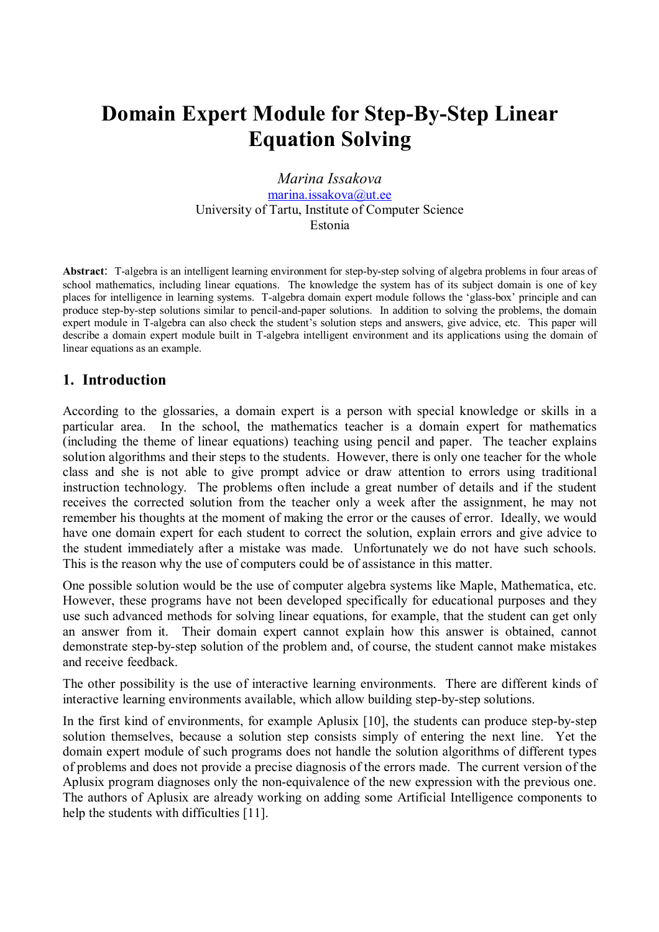# **Domain Expert Module for Step-By-Step Linear Equation Solving**

*Marina Issakova*  marina.issakova@ut.ee University of Tartu, Institute of Computer Science Estonia

**Abstract**: T-algebra is an intelligent learning environment for step-by-step solving of algebra problems in four areas of school mathematics, including linear equations. The knowledge the system has of its subject domain is one of key places for intelligence in learning systems. T-algebra domain expert module follows the 'glass-box' principle and can produce step-by-step solutions similar to pencil-and-paper solutions. In addition to solving the problems, the domain expert module in T-algebra can also check the student's solution steps and answers, give advice, etc. This paper will describe a domain expert module built in T-algebra intelligent environment and its applications using the domain of linear equations as an example.

## **1. Introduction**

According to the glossaries, a domain expert is a person with special knowledge or skills in a particular area. In the school, the mathematics teacher is a domain expert for mathematics (including the theme of linear equations) teaching using pencil and paper. The teacher explains solution algorithms and their steps to the students. However, there is only one teacher for the whole class and she is not able to give prompt advice or draw attention to errors using traditional instruction technology. The problems often include a great number of details and if the student receives the corrected solution from the teacher only a week after the assignment, he may not remember his thoughts at the moment of making the error or the causes of error. Ideally, we would have one domain expert for each student to correct the solution, explain errors and give advice to the student immediately after a mistake was made. Unfortunately we do not have such schools. This is the reason why the use of computers could be of assistance in this matter.

One possible solution would be the use of computer algebra systems like Maple, Mathematica, etc. However, these programs have not been developed specifically for educational purposes and they use such advanced methods for solving linear equations, for example, that the student can get only an answer from it. Their domain expert cannot explain how this answer is obtained, cannot demonstrate step-by-step solution of the problem and, of course, the student cannot make mistakes and receive feedback.

The other possibility is the use of interactive learning environments. There are different kinds of interactive learning environments available, which allow building step-by-step solutions.

In the first kind of environments, for example Aplusix [10], the students can produce step-by-step solution themselves, because a solution step consists simply of entering the next line. Yet the domain expert module of such programs does not handle the solution algorithms of different types of problems and does not provide a precise diagnosis of the errors made. The current version of the Aplusix program diagnoses only the non-equivalence of the new expression with the previous one. The authors of Aplusix are already working on adding some Artificial Intelligence components to help the students with difficulties [11].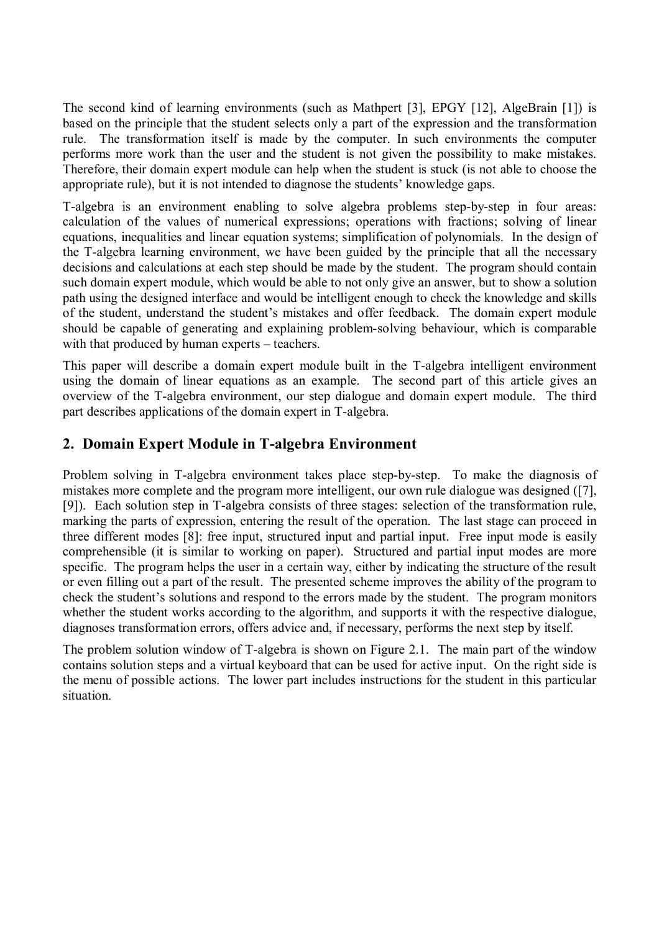The second kind of learning environments (such as Mathpert [3], EPGY [12], AlgeBrain [1]) is based on the principle that the student selects only a part of the expression and the transformation rule. The transformation itself is made by the computer. In such environments the computer performs more work than the user and the student is not given the possibility to make mistakes. Therefore, their domain expert module can help when the student is stuck (is not able to choose the appropriate rule), but it is not intended to diagnose the students' knowledge gaps.

T-algebra is an environment enabling to solve algebra problems step-by-step in four areas: calculation of the values of numerical expressions; operations with fractions; solving of linear equations, inequalities and linear equation systems; simplification of polynomials. In the design of the T-algebra learning environment, we have been guided by the principle that all the necessary decisions and calculations at each step should be made by the student. The program should contain such domain expert module, which would be able to not only give an answer, but to show a solution path using the designed interface and would be intelligent enough to check the knowledge and skills of the student, understand the student's mistakes and offer feedback. The domain expert module should be capable of generating and explaining problem-solving behaviour, which is comparable with that produced by human experts  $-$  teachers.

This paper will describe a domain expert module built in the T-algebra intelligent environment using the domain of linear equations as an example. The second part of this article gives an overview of the T-algebra environment, our step dialogue and domain expert module. The third part describes applications of the domain expert in T-algebra.

## **2. Domain Expert Module in T-algebra Environment**

Problem solving in T-algebra environment takes place step-by-step. To make the diagnosis of mistakes more complete and the program more intelligent, our own rule dialogue was designed ([7], [9]). Each solution step in T-algebra consists of three stages: selection of the transformation rule, marking the parts of expression, entering the result of the operation. The last stage can proceed in three different modes [8]: free input, structured input and partial input. Free input mode is easily comprehensible (it is similar to working on paper). Structured and partial input modes are more specific. The program helps the user in a certain way, either by indicating the structure of the result or even filling out a part of the result. The presented scheme improves the ability of the program to check the student's solutions and respond to the errors made by the student. The program monitors whether the student works according to the algorithm, and supports it with the respective dialogue, diagnoses transformation errors, offers advice and, if necessary, performs the next step by itself.

The problem solution window of T-algebra is shown on Figure 2.1. The main part of the window contains solution steps and a virtual keyboard that can be used for active input. On the right side is the menu of possible actions. The lower part includes instructions for the student in this particular situation.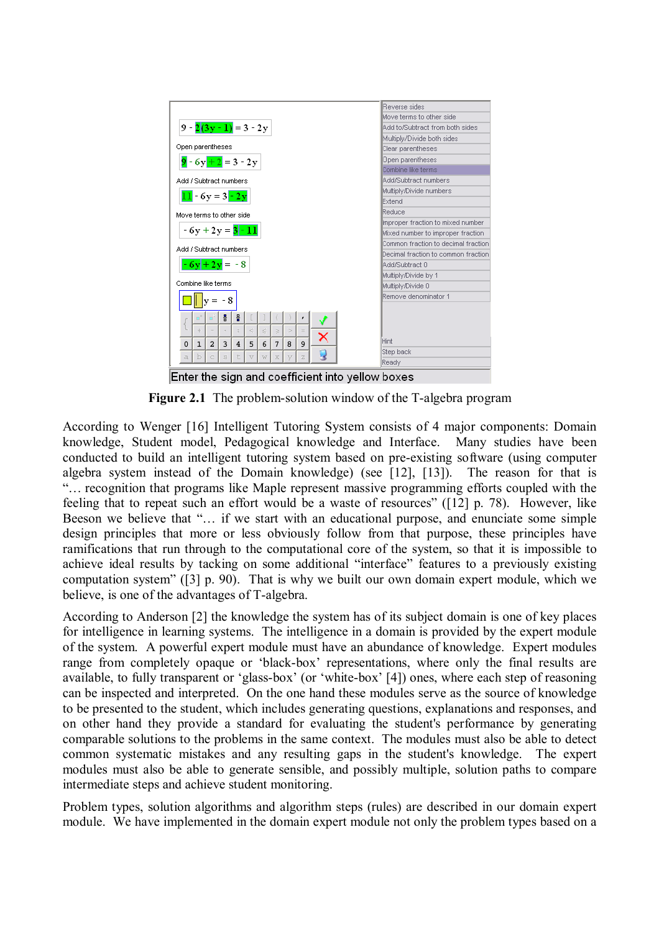

**Figure 2.1** The problem-solution window of the T-algebra program

According to Wenger [16] Intelligent Tutoring System consists of 4 major components: Domain knowledge, Student model, Pedagogical knowledge and Interface. Many studies have been conducted to build an intelligent tutoring system based on pre-existing software (using computer algebra system instead of the Domain knowledge) (see [12], [13]). The reason for that is ìÖ recognition that programs like Maple represent massive programming efforts coupled with the feeling that to repeat such an effort would be a waste of resources" ([12] p. 78). However, like Beeson we believe that "... if we start with an educational purpose, and enunciate some simple design principles that more or less obviously follow from that purpose, these principles have ramifications that run through to the computational core of the system, so that it is impossible to achieve ideal results by tacking on some additional "interface" features to a previously existing computation system" ([3] p. 90). That is why we built our own domain expert module, which we believe, is one of the advantages of T-algebra.

According to Anderson [2] the knowledge the system has of its subject domain is one of key places for intelligence in learning systems. The intelligence in a domain is provided by the expert module of the system. A powerful expert module must have an abundance of knowledge. Expert modules range from completely opaque or 'black-box' representations, where only the final results are available, to fully transparent or 'glass-box' (or 'white-box' [4]) ones, where each step of reasoning can be inspected and interpreted. On the one hand these modules serve as the source of knowledge to be presented to the student, which includes generating questions, explanations and responses, and on other hand they provide a standard for evaluating the student's performance by generating comparable solutions to the problems in the same context. The modules must also be able to detect common systematic mistakes and any resulting gaps in the student's knowledge. The expert modules must also be able to generate sensible, and possibly multiple, solution paths to compare intermediate steps and achieve student monitoring.

Problem types, solution algorithms and algorithm steps (rules) are described in our domain expert module. We have implemented in the domain expert module not only the problem types based on a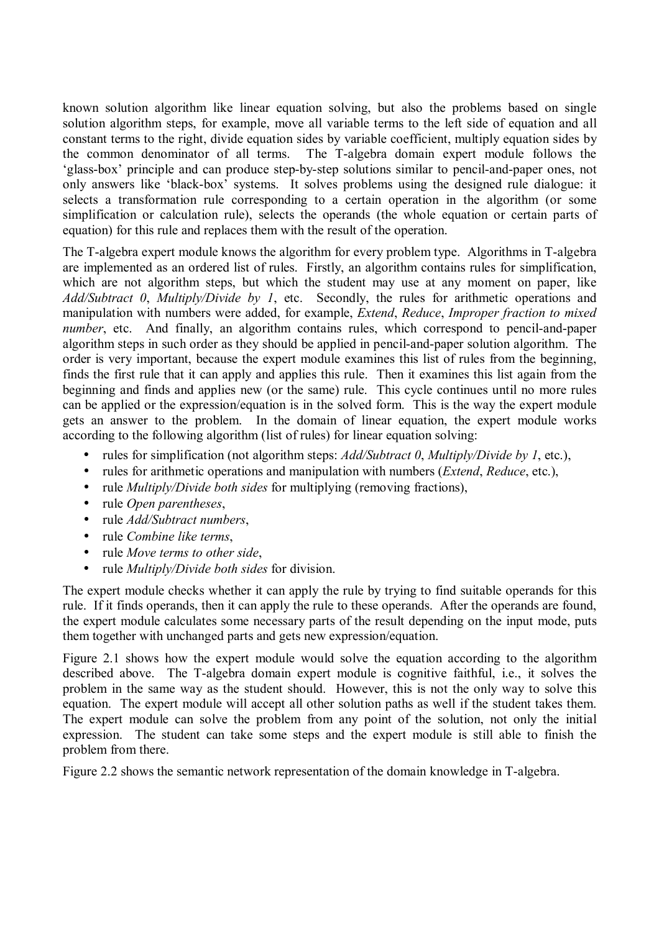known solution algorithm like linear equation solving, but also the problems based on single solution algorithm steps, for example, move all variable terms to the left side of equation and all constant terms to the right, divide equation sides by variable coefficient, multiply equation sides by the common denominator of all terms. The T-algebra domain expert module follows the ëglass-boxí principle and can produce step-by-step solutions similar to pencil-and-paper ones, not only answers like 'black-box' systems. It solves problems using the designed rule dialogue: it selects a transformation rule corresponding to a certain operation in the algorithm (or some simplification or calculation rule), selects the operands (the whole equation or certain parts of equation) for this rule and replaces them with the result of the operation.

The T-algebra expert module knows the algorithm for every problem type. Algorithms in T-algebra are implemented as an ordered list of rules. Firstly, an algorithm contains rules for simplification, which are not algorithm steps, but which the student may use at any moment on paper, like *Add/Subtract 0*, *Multiply/Divide by 1*, etc. Secondly, the rules for arithmetic operations and manipulation with numbers were added, for example, *Extend*, *Reduce*, *Improper fraction to mixed number*, etc. And finally, an algorithm contains rules, which correspond to pencil-and-paper algorithm steps in such order as they should be applied in pencil-and-paper solution algorithm. The order is very important, because the expert module examines this list of rules from the beginning, finds the first rule that it can apply and applies this rule. Then it examines this list again from the beginning and finds and applies new (or the same) rule. This cycle continues until no more rules can be applied or the expression/equation is in the solved form. This is the way the expert module gets an answer to the problem. In the domain of linear equation, the expert module works according to the following algorithm (list of rules) for linear equation solving:

- rules for simplification (not algorithm steps: *Add/Subtract 0*, *Multiply/Divide by 1*, etc.),
- rules for arithmetic operations and manipulation with numbers (*Extend*, *Reduce*, etc.),
- rule *Multiply/Divide both sides* for multiplying (removing fractions),
- rule *Open parentheses*,
- rule *Add/Subtract numbers*,
- rule *Combine like terms*,
- rule *Move terms to other side*,
- rule *Multiply/Divide both sides* for division.

The expert module checks whether it can apply the rule by trying to find suitable operands for this rule. If it finds operands, then it can apply the rule to these operands. After the operands are found, the expert module calculates some necessary parts of the result depending on the input mode, puts them together with unchanged parts and gets new expression/equation.

Figure 2.1 shows how the expert module would solve the equation according to the algorithm described above. The T-algebra domain expert module is cognitive faithful, i.e., it solves the problem in the same way as the student should. However, this is not the only way to solve this equation. The expert module will accept all other solution paths as well if the student takes them. The expert module can solve the problem from any point of the solution, not only the initial expression. The student can take some steps and the expert module is still able to finish the problem from there.

Figure 2.2 shows the semantic network representation of the domain knowledge in T-algebra.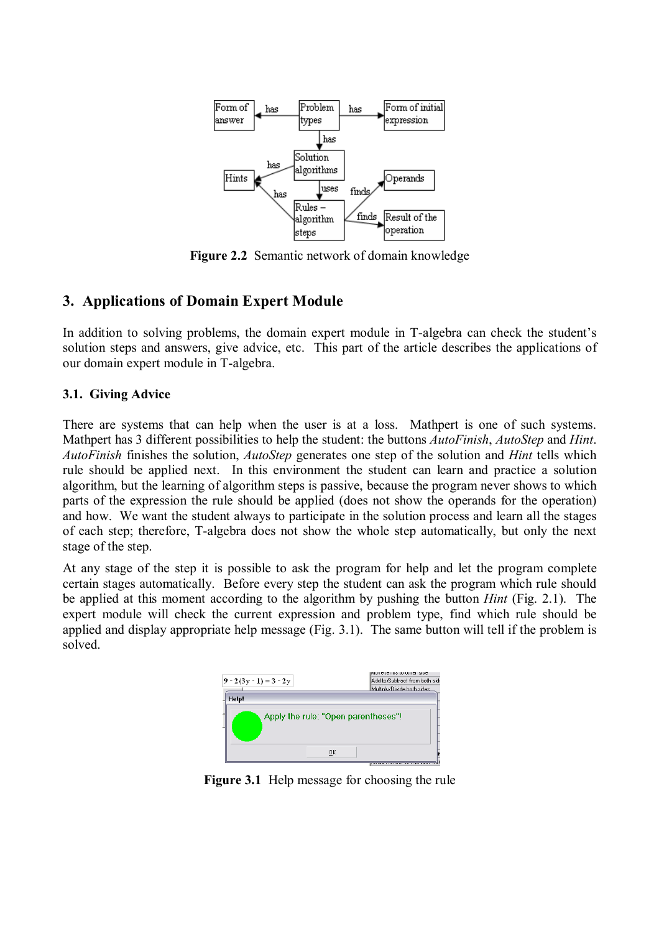

**Figure 2.2** Semantic network of domain knowledge

## **3. Applications of Domain Expert Module**

In addition to solving problems, the domain expert module in T-algebra can check the student's solution steps and answers, give advice, etc. This part of the article describes the applications of our domain expert module in T-algebra.

#### **3.1. Giving Advice**

There are systems that can help when the user is at a loss. Mathpert is one of such systems. Mathpert has 3 different possibilities to help the student: the buttons *AutoFinish*, *AutoStep* and *Hint*. *AutoFinish* finishes the solution, *AutoStep* generates one step of the solution and *Hint* tells which rule should be applied next. In this environment the student can learn and practice a solution algorithm, but the learning of algorithm steps is passive, because the program never shows to which parts of the expression the rule should be applied (does not show the operands for the operation) and how. We want the student always to participate in the solution process and learn all the stages of each step; therefore, T-algebra does not show the whole step automatically, but only the next stage of the step.

At any stage of the step it is possible to ask the program for help and let the program complete certain stages automatically. Before every step the student can ask the program which rule should be applied at this moment according to the algorithm by pushing the button *Hint* (Fig. 2.1). The expert module will check the current expression and problem type, find which rule should be applied and display appropriate help message (Fig. 3.1). The same button will tell if the problem is solved.



**Figure 3.1** Help message for choosing the rule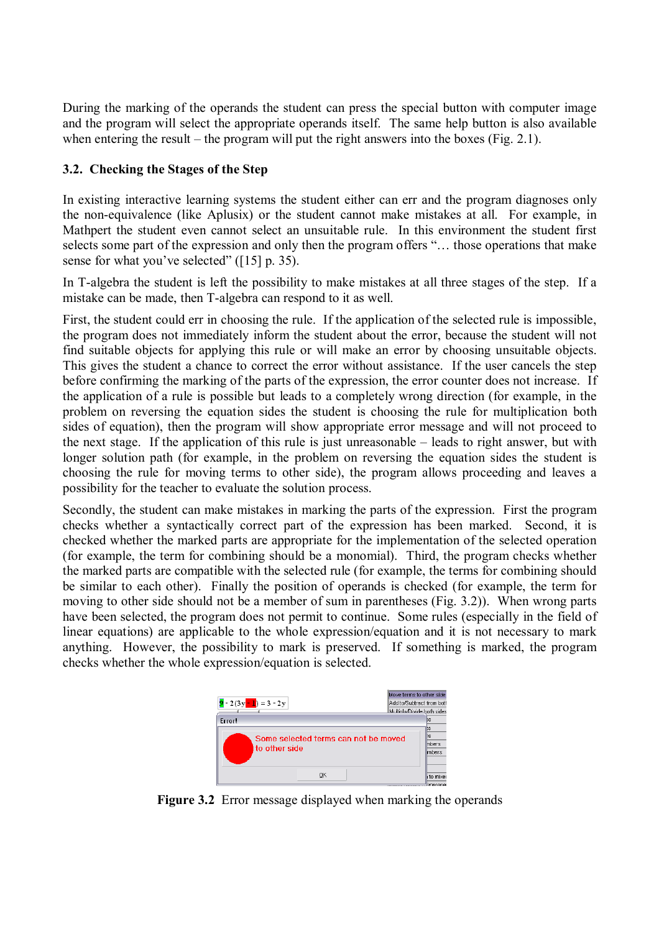During the marking of the operands the student can press the special button with computer image and the program will select the appropriate operands itself. The same help button is also available when entering the result  $-$  the program will put the right answers into the boxes (Fig. 2.1).

### **3.2. Checking the Stages of the Step**

In existing interactive learning systems the student either can err and the program diagnoses only the non-equivalence (like Aplusix) or the student cannot make mistakes at all. For example, in Mathpert the student even cannot select an unsuitable rule. In this environment the student first selects some part of the expression and only then the program offers "... those operations that make sense for what you've selected"  $(15]$  p. 35).

In T-algebra the student is left the possibility to make mistakes at all three stages of the step. If a mistake can be made, then T-algebra can respond to it as well.

First, the student could err in choosing the rule. If the application of the selected rule is impossible, the program does not immediately inform the student about the error, because the student will not find suitable objects for applying this rule or will make an error by choosing unsuitable objects. This gives the student a chance to correct the error without assistance. If the user cancels the step before confirming the marking of the parts of the expression, the error counter does not increase. If the application of a rule is possible but leads to a completely wrong direction (for example, in the problem on reversing the equation sides the student is choosing the rule for multiplication both sides of equation), then the program will show appropriate error message and will not proceed to the next stage. If the application of this rule is just unreasonable  $-$  leads to right answer, but with longer solution path (for example, in the problem on reversing the equation sides the student is choosing the rule for moving terms to other side), the program allows proceeding and leaves a possibility for the teacher to evaluate the solution process.

Secondly, the student can make mistakes in marking the parts of the expression. First the program checks whether a syntactically correct part of the expression has been marked. Second, it is checked whether the marked parts are appropriate for the implementation of the selected operation (for example, the term for combining should be a monomial). Third, the program checks whether the marked parts are compatible with the selected rule (for example, the terms for combining should be similar to each other). Finally the position of operands is checked (for example, the term for moving to other side should not be a member of sum in parentheses (Fig. 3.2)). When wrong parts have been selected, the program does not permit to continue. Some rules (especially in the field of linear equations) are applicable to the whole expression/equation and it is not necessary to mark anything. However, the possibility to mark is preserved. If something is marked, the program checks whether the whole expression/equation is selected.



Figure 3.2 Error message displayed when marking the operands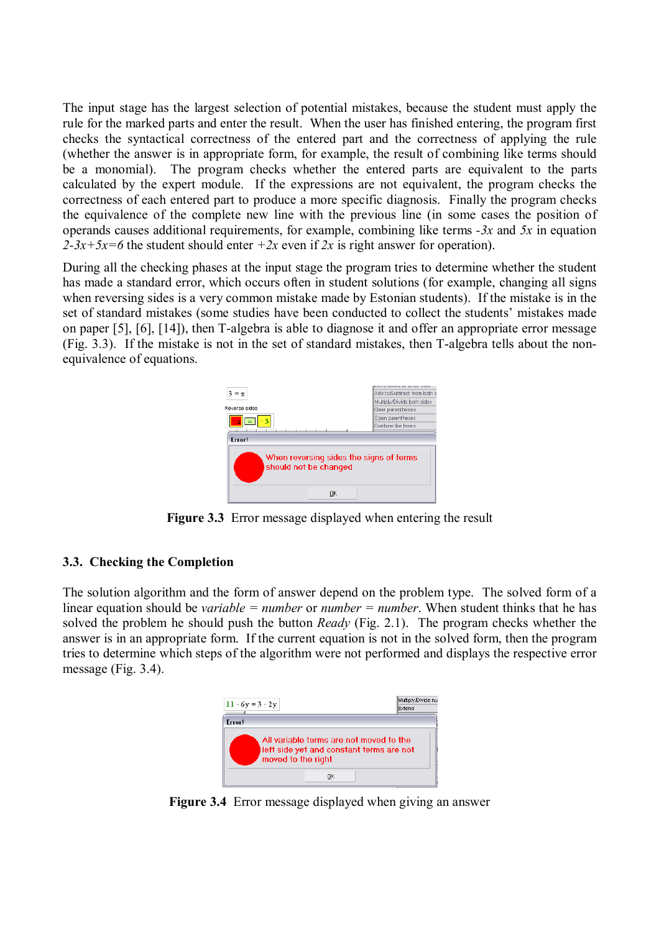The input stage has the largest selection of potential mistakes, because the student must apply the rule for the marked parts and enter the result. When the user has finished entering, the program first checks the syntactical correctness of the entered part and the correctness of applying the rule (whether the answer is in appropriate form, for example, the result of combining like terms should be a monomial). The program checks whether the entered parts are equivalent to the parts calculated by the expert module. If the expressions are not equivalent, the program checks the correctness of each entered part to produce a more specific diagnosis. Finally the program checks the equivalence of the complete new line with the previous line (in some cases the position of operands causes additional requirements, for example, combining like terms *-3x* and *5x* in equation 2-3x+5x=6 the student should enter  $+2x$  even if 2x is right answer for operation).

During all the checking phases at the input stage the program tries to determine whether the student has made a standard error, which occurs often in student solutions (for example, changing all signs when reversing sides is a very common mistake made by Estonian students). If the mistake is in the set of standard mistakes (some studies have been conducted to collect the students' mistakes made on paper [5], [6], [14]), then T-algebra is able to diagnose it and offer an appropriate error message (Fig. 3.3). If the mistake is not in the set of standard mistakes, then T-algebra tells about the nonequivalence of equations.



**Figure 3.3** Error message displayed when entering the result

#### **3.3. Checking the Completion**

The solution algorithm and the form of answer depend on the problem type. The solved form of a linear equation should be *variable = number* or *number = number*. When student thinks that he has solved the problem he should push the button *Ready* (Fig. 2.1). The program checks whether the answer is in an appropriate form. If the current equation is not in the solved form, then the program tries to determine which steps of the algorithm were not performed and displays the respective error message (Fig. 3.4).



**Figure 3.4** Error message displayed when giving an answer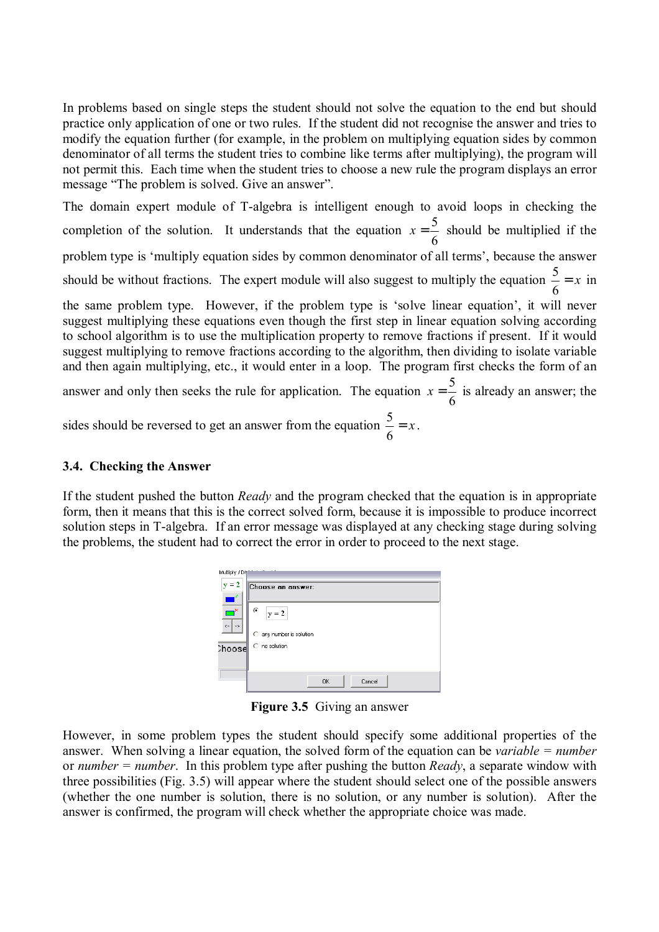In problems based on single steps the student should not solve the equation to the end but should practice only application of one or two rules. If the student did not recognise the answer and tries to modify the equation further (for example, in the problem on multiplying equation sides by common denominator of all terms the student tries to combine like terms after multiplying), the program will not permit this. Each time when the student tries to choose a new rule the program displays an error message "The problem is solved. Give an answer".

The domain expert module of T-algebra is intelligent enough to avoid loops in checking the completion of the solution. It understands that the equation  $x = \frac{5}{6}$  should be multiplied if the problem type is 'multiply equation sides by common denominator of all terms', because the answer should be without fractions. The expert module will also suggest to multiply the equation  $\frac{3}{x} = x$ 6  $\frac{5}{5}$  = x in the same problem type. However, if the problem type is 'solve linear equation', it will never suggest multiplying these equations even though the first step in linear equation solving according to school algorithm is to use the multiplication property to remove fractions if present. If it would suggest multiplying to remove fractions according to the algorithm, then dividing to isolate variable and then again multiplying, etc., it would enter in a loop. The program first checks the form of an answer and only then seeks the rule for application. The equation  $x = \frac{5}{6}$  is already an answer; the

sides should be reversed to get an answer from the equation  $\frac{3}{5} = x$ 6  $\frac{5}{3} = x$ .

#### **3.4. Checking the Answer**

If the student pushed the button *Ready* and the program checked that the equation is in appropriate form, then it means that this is the correct solved form, because it is impossible to produce incorrect solution steps in T-algebra. If an error message was displayed at any checking stage during solving the problems, the student had to correct the error in order to proceed to the next stage.



**Figure 3.5** Giving an answer

However, in some problem types the student should specify some additional properties of the answer. When solving a linear equation, the solved form of the equation can be *variable = number* or *number = number*. In this problem type after pushing the button *Ready*, a separate window with three possibilities (Fig. 3.5) will appear where the student should select one of the possible answers (whether the one number is solution, there is no solution, or any number is solution). After the answer is confirmed, the program will check whether the appropriate choice was made.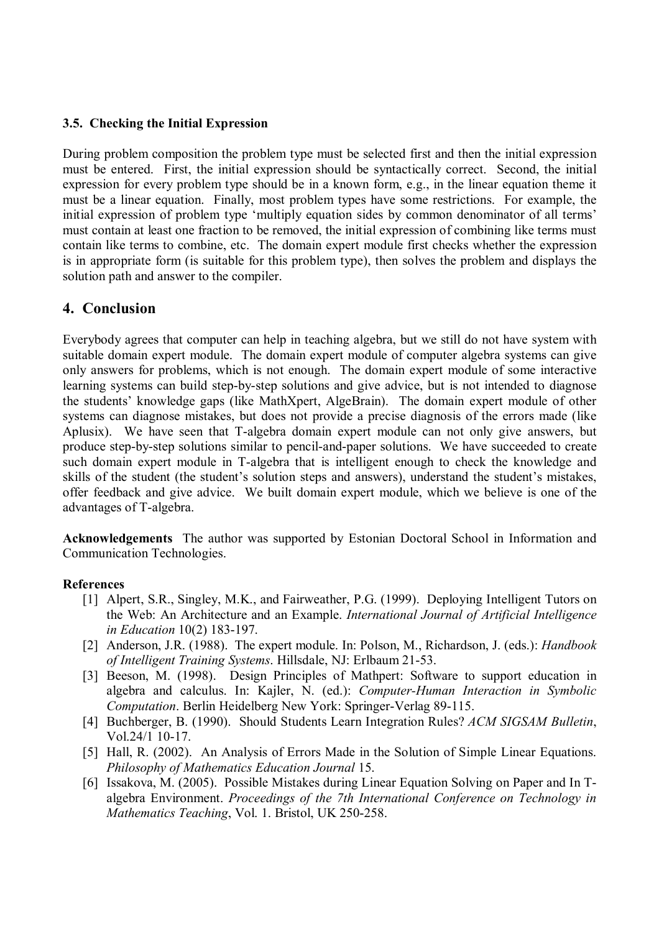#### **3.5. Checking the Initial Expression**

During problem composition the problem type must be selected first and then the initial expression must be entered. First, the initial expression should be syntactically correct. Second, the initial expression for every problem type should be in a known form, e.g., in the linear equation theme it must be a linear equation. Finally, most problem types have some restrictions. For example, the initial expression of problem type 'multiply equation sides by common denominator of all terms' must contain at least one fraction to be removed, the initial expression of combining like terms must contain like terms to combine, etc. The domain expert module first checks whether the expression is in appropriate form (is suitable for this problem type), then solves the problem and displays the solution path and answer to the compiler.

## **4. Conclusion**

Everybody agrees that computer can help in teaching algebra, but we still do not have system with suitable domain expert module. The domain expert module of computer algebra systems can give only answers for problems, which is not enough. The domain expert module of some interactive learning systems can build step-by-step solutions and give advice, but is not intended to diagnose the students' knowledge gaps (like MathXpert, AlgeBrain). The domain expert module of other systems can diagnose mistakes, but does not provide a precise diagnosis of the errors made (like Aplusix). We have seen that T-algebra domain expert module can not only give answers, but produce step-by-step solutions similar to pencil-and-paper solutions. We have succeeded to create such domain expert module in T-algebra that is intelligent enough to check the knowledge and skills of the student (the student's solution steps and answers), understand the student's mistakes, offer feedback and give advice. We built domain expert module, which we believe is one of the advantages of T-algebra.

**Acknowledgements** The author was supported by Estonian Doctoral School in Information and Communication Technologies.

#### **References**

- [1] Alpert, S.R., Singley, M.K., and Fairweather, P.G. (1999). Deploying Intelligent Tutors on the Web: An Architecture and an Example. *International Journal of Artificial Intelligence in Education* 10(2) 183-197.
- [2] Anderson, J.R. (1988). The expert module. In: Polson, M., Richardson, J. (eds.): *Handbook of Intelligent Training Systems*. Hillsdale, NJ: Erlbaum 21-53.
- [3] Beeson, M. (1998). Design Principles of Mathpert: Software to support education in algebra and calculus. In: Kajler, N. (ed.): *Computer-Human Interaction in Symbolic Computation*. Berlin Heidelberg New York: Springer-Verlag 89-115.
- [4] Buchberger, B. (1990). Should Students Learn Integration Rules? *ACM SIGSAM Bulletin*, Vol.24/1 10-17.
- [5] Hall, R. (2002). An Analysis of Errors Made in the Solution of Simple Linear Equations. *Philosophy of Mathematics Education Journal* 15.
- [6] Issakova, M. (2005). Possible Mistakes during Linear Equation Solving on Paper and In Talgebra Environment. *Proceedings of the 7th International Conference on Technology in Mathematics Teaching*, Vol. 1. Bristol, UK 250-258.